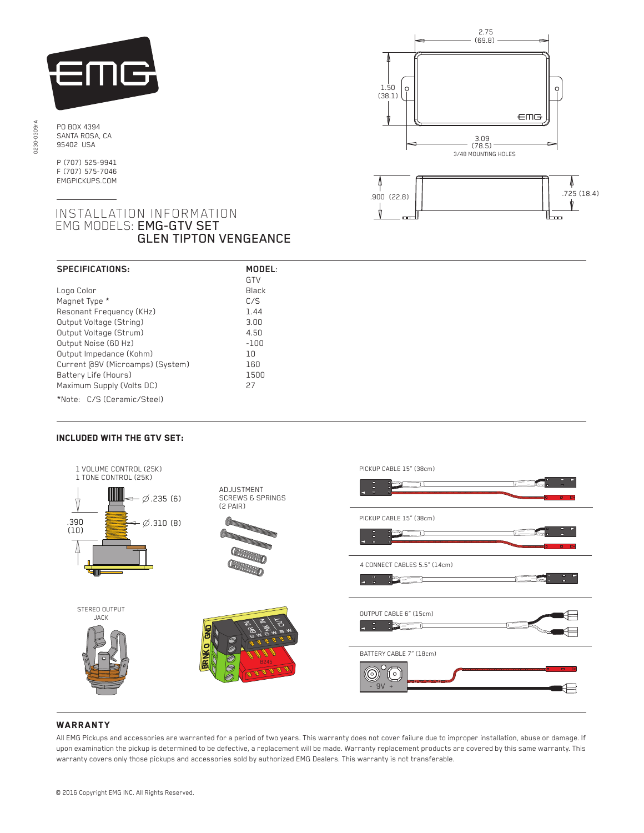

PO BOX 4394 SANTA ROSA, CA 95402 USA

P (707) 525-9941 F (707) 575-7046 EMGPICKUPS.COM

## INSTALLATION INFORMATION EMG MODELS: EMG-GTV SET GLEN TIPTON VENGEANCE

| <b>SPECIFICATIONS:</b>           | MODEL:     |
|----------------------------------|------------|
|                                  | <b>GTV</b> |
| Logo Color                       | Black      |
| Magnet Type *                    | C/S        |
| Resonant Frequency (KHz)         | 1.44       |
| Output Voltage (String)          | 3.00       |
| Output Voltage (Strum)           | 4.50       |
| Output Noise (60 Hz)             | $-100$     |
| Output Impedance (Kohm)          | 1n         |
| Current @9V (Microamps) (System) | 160        |
| Battery Life (Hours)             | 1500       |
| Maximum Supply (Volts DC)        | 27         |
| *Note: C/S (Ceramic/Steel)       |            |

# Included with THE GTV SET:

j



### **WARRANTY**

All EMG Pickups and accessories are warranted for a period of two years. This warranty does not cover failure due to improper installation, abuse or damage. If upon examination the pickup is determined to be defective, a replacement will be made. Warranty replacement products are covered by this same warranty. This warranty covers only those pickups and accessories sold by authorized EMG Dealers. This warranty is not transferable.



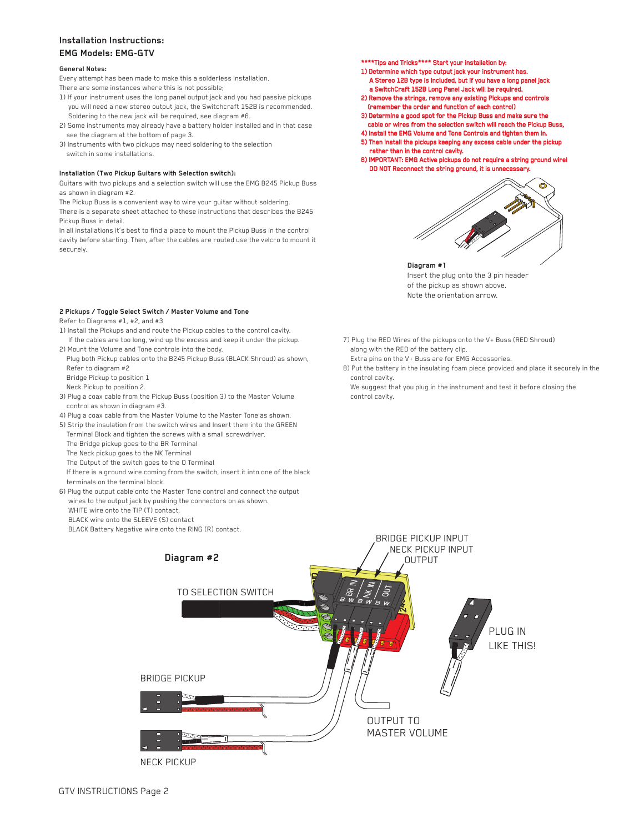### **Installation Instructions: EMG Models: EMG-GTV**

#### **General Notes:**

Every attempt has been made to make this a solderless installation.

There are some instances where this is not possible;

- 1) If your instrument uses the long panel output jack and you had passive pickups you will need a new stereo output jack, the Switchcraft 152B is recommended. Soldering to the new jack will be required, see diagram #6.
- 2) Some instruments may already have a battery holder installed and in that case see the diagram at the bottom of page 3.
- 3) Instruments with two pickups may need soldering to the selection switch in some installations.

#### **Installation (Two Pickup Guitars with Selection switch):**

**2 Pickups / Toggle Select Switch / Master Volume and Tone**

2) Mount the Volume and Tone controls into the body.

1) Install the Pickups and and route the Pickup cables to the control cavity. If the cables are too long, wind up the excess and keep it under the pickup.

3) Plug a coax cable from the Pickup Buss (position 3) to the Master Volume

4) Plug a coax cable from the Master Volume to the Master Tone as shown. 5) Strip the insulation from the switch wires and Insert them into the GREEN Terminal Block and tighten the screws with a small screwdriver.

Plug both Pickup cables onto the B245 Pickup Buss (BLACK Shroud) as shown,

If there is a ground wire coming from the switch, insert it into one of the black

6) Plug the output cable onto the Master Tone control and connect the output wires to the output jack by pushing the connectors on as shown.

Refer to Diagrams #1, #2, and #3

control as shown in diagram #3.

terminals on the terminal block.

WHITE wire onto the TIP (T) contact,

 The Bridge pickup goes to the BR Terminal The Neck pickup goes to the NK Terminal The Output of the switch goes to the O Terminal

 Refer to diagram #2 Bridge Pickup to position 1 Neck Pickup to position 2.

Guitars with two pickups and a selection switch will use the EMG B245 Pickup Buss as shown in diagram #2.

The Pickup Buss is a convenient way to wire your guitar without soldering. There is a separate sheet attached to these instructions that describes the B245 Pickup Buss in detail.

In all installations it's best to find a place to mount the Pickup Buss in the control cavity before starting. Then, after the cables are routed use the velcro to mount it securely.

#### \*\*\*\*Tips and Tricks\*\*\*\* Start your installation by:

- 1) Determine which type output jack your instrument has. A Stereo 12B type is Included, but if you have a long panel jack a SwitchCraft 152B Long Panel Jack will be required.
- 2) Remove the strings, remove any existing Pickups and controls (remember the order and function of each control)
- 3) Determine a good spot for the Pickup Buss and make sure the cable or wires from the selection switch will reach the Pickup Buss,
- 4) Install the EMG Volume and Tone Controls and tighten them in.
- 5) Then install the pickups keeping any excess cable under the pickup rather than in the control cavity.
- 6) IMPORTANT: EMG Active pickups do not require a string ground wire! DO NOT Reconnect the string ground, it is unneces



**Diagram #1** Insert the plug onto the 3 pin header of the pickup as shown above. Note the orientation arrow.

7) Plug the RED Wires of the pickups onto the V+ Buss (RED Shroud) along with the RED of the battery clip.

Extra pins on the V+ Buss are for EMG Accessories.

8) Put the battery in the insulating foam piece provided and place it securely in the control cavity.

 We suggest that you plug in the instrument and test it before closing the control cavity.

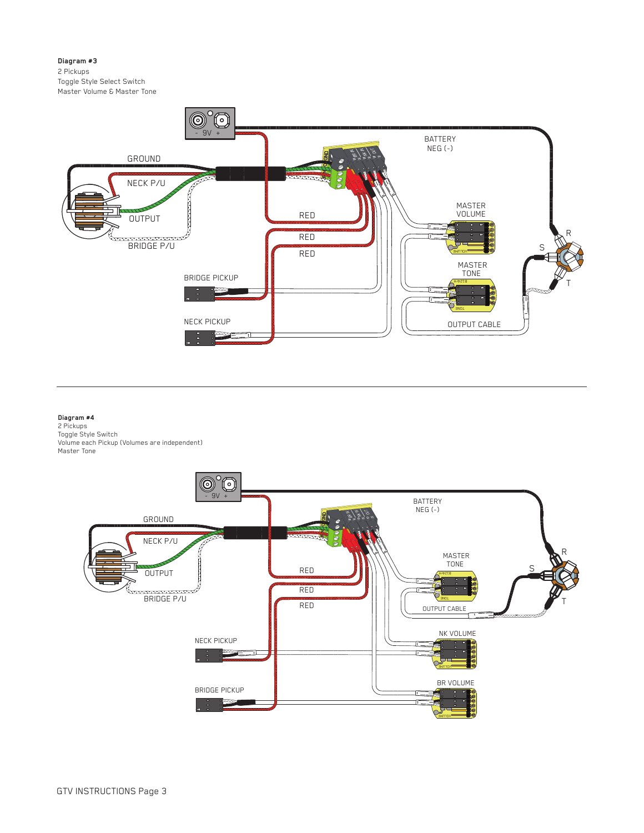**Diagram #3** 2 Pickups Toggle Style Select Switch Master Volume & Master Tone



# **Diagram #4** 2 Pickups

Toggle Style Switch Volume each Pickup (Volumes are independent) Master Tone